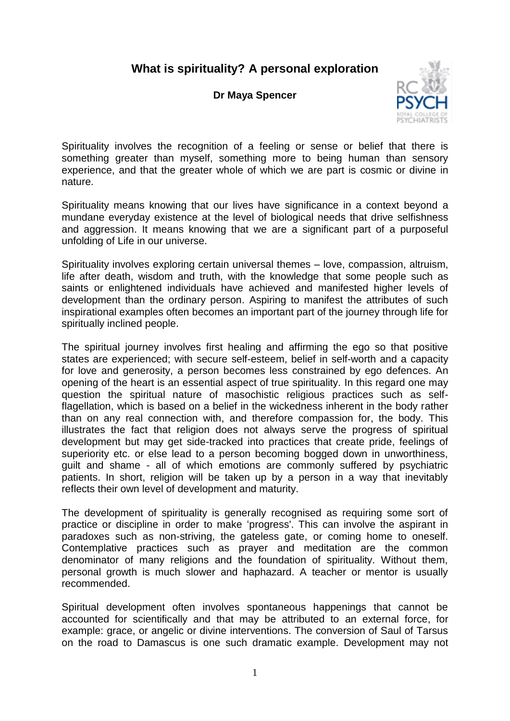## **What is spirituality? A personal exploration**

## **Dr Maya Spencer**



Spirituality involves the recognition of a feeling or sense or belief that there is something greater than myself, something more to being human than sensory experience, and that the greater whole of which we are part is cosmic or divine in nature.

Spirituality means knowing that our lives have significance in a context beyond a mundane everyday existence at the level of biological needs that drive selfishness and aggression. It means knowing that we are a significant part of a purposeful unfolding of Life in our universe.

Spirituality involves exploring certain universal themes – love, compassion, altruism, life after death, wisdom and truth, with the knowledge that some people such as saints or enlightened individuals have achieved and manifested higher levels of development than the ordinary person. Aspiring to manifest the attributes of such inspirational examples often becomes an important part of the journey through life for spiritually inclined people.

The spiritual journey involves first healing and affirming the ego so that positive states are experienced; with secure self-esteem, belief in self-worth and a capacity for love and generosity, a person becomes less constrained by ego defences. An opening of the heart is an essential aspect of true spirituality. In this regard one may question the spiritual nature of masochistic religious practices such as selfflagellation, which is based on a belief in the wickedness inherent in the body rather than on any real connection with, and therefore compassion for, the body. This illustrates the fact that religion does not always serve the progress of spiritual development but may get side-tracked into practices that create pride, feelings of superiority etc. or else lead to a person becoming bogged down in unworthiness, guilt and shame - all of which emotions are commonly suffered by psychiatric patients. In short, religion will be taken up by a person in a way that inevitably reflects their own level of development and maturity.

The development of spirituality is generally recognised as requiring some sort of practice or discipline in order to make 'progress'. This can involve the aspirant in paradoxes such as non-striving, the gateless gate, or coming home to oneself. Contemplative practices such as prayer and meditation are the common denominator of many religions and the foundation of spirituality. Without them, personal growth is much slower and haphazard. A teacher or mentor is usually recommended.

Spiritual development often involves spontaneous happenings that cannot be accounted for scientifically and that may be attributed to an external force, for example: grace, or angelic or divine interventions. The conversion of Saul of Tarsus on the road to Damascus is one such dramatic example. Development may not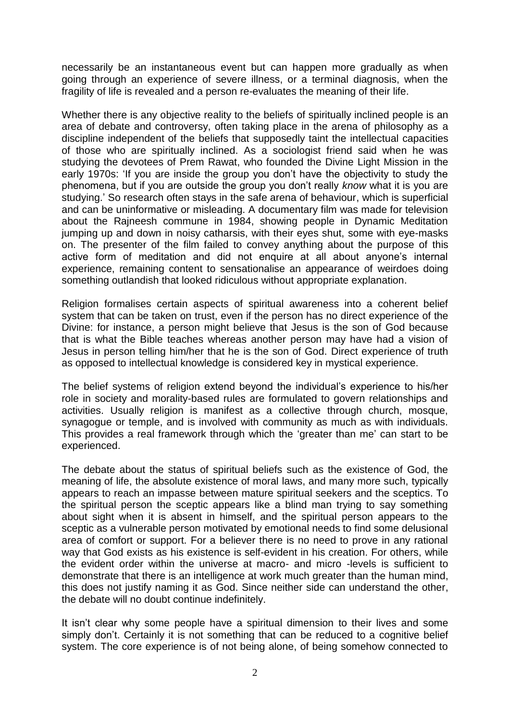necessarily be an instantaneous event but can happen more gradually as when going through an experience of severe illness, or a terminal diagnosis, when the fragility of life is revealed and a person re-evaluates the meaning of their life.

Whether there is any objective reality to the beliefs of spiritually inclined people is an area of debate and controversy, often taking place in the arena of philosophy as a discipline independent of the beliefs that supposedly taint the intellectual capacities of those who are spiritually inclined. As a sociologist friend said when he was studying the devotees of Prem Rawat, who founded the Divine Light Mission in the early 1970s: 'If you are inside the group you don't have the objectivity to study the phenomena, but if you are outside the group you don't really *know* what it is you are studying.' So research often stays in the safe arena of behaviour, which is superficial and can be uninformative or misleading. A documentary film was made for television about the Rajneesh commune in 1984, showing people in Dynamic Meditation jumping up and down in noisy catharsis, with their eyes shut, some with eye-masks on. The presenter of the film failed to convey anything about the purpose of this active form of meditation and did not enquire at all about anyone's internal experience, remaining content to sensationalise an appearance of weirdoes doing something outlandish that looked ridiculous without appropriate explanation.

Religion formalises certain aspects of spiritual awareness into a coherent belief system that can be taken on trust, even if the person has no direct experience of the Divine: for instance, a person might believe that Jesus is the son of God because that is what the Bible teaches whereas another person may have had a vision of Jesus in person telling him/her that he is the son of God. Direct experience of truth as opposed to intellectual knowledge is considered key in mystical experience.

The belief systems of religion extend beyond the individual's experience to his/her role in society and morality-based rules are formulated to govern relationships and activities. Usually religion is manifest as a collective through church, mosque, synagogue or temple, and is involved with community as much as with individuals. This provides a real framework through which the 'greater than me' can start to be experienced.

The debate about the status of spiritual beliefs such as the existence of God, the meaning of life, the absolute existence of moral laws, and many more such, typically appears to reach an impasse between mature spiritual seekers and the sceptics. To the spiritual person the sceptic appears like a blind man trying to say something about sight when it is absent in himself, and the spiritual person appears to the sceptic as a vulnerable person motivated by emotional needs to find some delusional area of comfort or support. For a believer there is no need to prove in any rational way that God exists as his existence is self-evident in his creation. For others, while the evident order within the universe at macro- and micro -levels is sufficient to demonstrate that there is an intelligence at work much greater than the human mind, this does not justify naming it as God. Since neither side can understand the other, the debate will no doubt continue indefinitely.

It isn't clear why some people have a spiritual dimension to their lives and some simply don't. Certainly it is not something that can be reduced to a cognitive belief system. The core experience is of not being alone, of being somehow connected to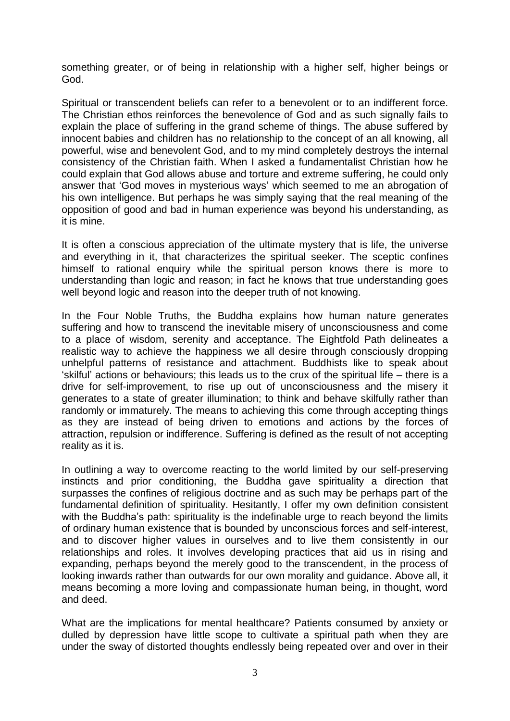something greater, or of being in relationship with a higher self, higher beings or God.

Spiritual or transcendent beliefs can refer to a benevolent or to an indifferent force. The Christian ethos reinforces the benevolence of God and as such signally fails to explain the place of suffering in the grand scheme of things. The abuse suffered by innocent babies and children has no relationship to the concept of an all knowing, all powerful, wise and benevolent God, and to my mind completely destroys the internal consistency of the Christian faith. When I asked a fundamentalist Christian how he could explain that God allows abuse and torture and extreme suffering, he could only answer that 'God moves in mysterious ways' which seemed to me an abrogation of his own intelligence. But perhaps he was simply saying that the real meaning of the opposition of good and bad in human experience was beyond his understanding, as it is mine.

It is often a conscious appreciation of the ultimate mystery that is life, the universe and everything in it, that characterizes the spiritual seeker. The sceptic confines himself to rational enquiry while the spiritual person knows there is more to understanding than logic and reason; in fact he knows that true understanding goes well beyond logic and reason into the deeper truth of not knowing.

In the Four Noble Truths, the Buddha explains how human nature generates suffering and how to transcend the inevitable misery of unconsciousness and come to a place of wisdom, serenity and acceptance. The Eightfold Path delineates a realistic way to achieve the happiness we all desire through consciously dropping unhelpful patterns of resistance and attachment. Buddhists like to speak about 'skilful' actions or behaviours; this leads us to the crux of the spiritual life – there is a drive for self-improvement, to rise up out of unconsciousness and the misery it generates to a state of greater illumination; to think and behave skilfully rather than randomly or immaturely. The means to achieving this come through accepting things as they are instead of being driven to emotions and actions by the forces of attraction, repulsion or indifference. Suffering is defined as the result of not accepting reality as it is.

In outlining a way to overcome reacting to the world limited by our self-preserving instincts and prior conditioning, the Buddha gave spirituality a direction that surpasses the confines of religious doctrine and as such may be perhaps part of the fundamental definition of spirituality. Hesitantly, I offer my own definition consistent with the Buddha's path: spirituality is the indefinable urge to reach beyond the limits of ordinary human existence that is bounded by unconscious forces and self-interest, and to discover higher values in ourselves and to live them consistently in our relationships and roles. It involves developing practices that aid us in rising and expanding, perhaps beyond the merely good to the transcendent, in the process of looking inwards rather than outwards for our own morality and guidance. Above all, it means becoming a more loving and compassionate human being, in thought, word and deed.

What are the implications for mental healthcare? Patients consumed by anxiety or dulled by depression have little scope to cultivate a spiritual path when they are under the sway of distorted thoughts endlessly being repeated over and over in their